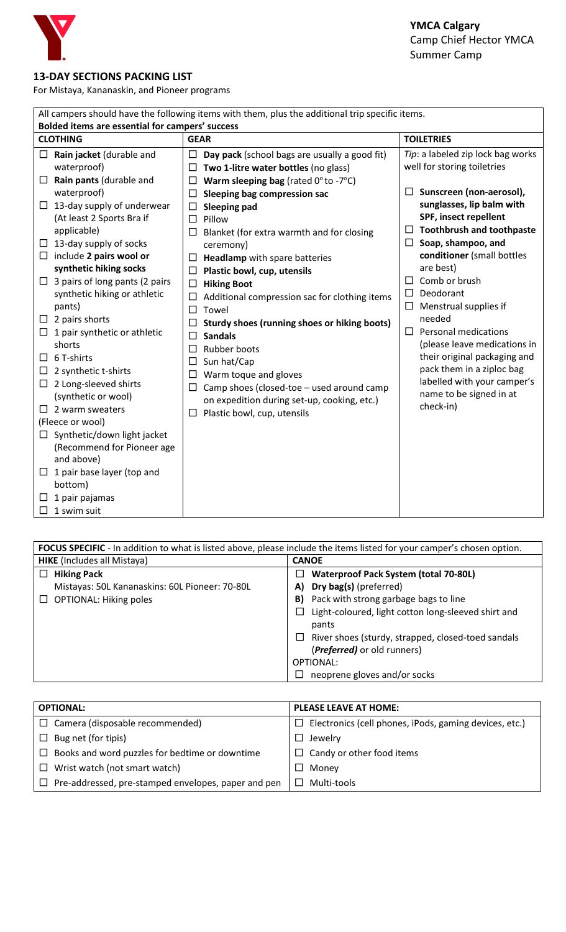

## **13-DAY SECTIONS PACKING LIST**

For Mistaya, Kananaskin, and Pioneer programs

| All campers should have the following items with them, plus the additional trip specific items. |                                                                                                                                                                                                                                                                                                                                                                                     |                                                                                                                                                                                                                                                                                                                                                                                                                                                                 |                                                                                                                                                                                                                                                                                                                            |  |  |  |  |  |
|-------------------------------------------------------------------------------------------------|-------------------------------------------------------------------------------------------------------------------------------------------------------------------------------------------------------------------------------------------------------------------------------------------------------------------------------------------------------------------------------------|-----------------------------------------------------------------------------------------------------------------------------------------------------------------------------------------------------------------------------------------------------------------------------------------------------------------------------------------------------------------------------------------------------------------------------------------------------------------|----------------------------------------------------------------------------------------------------------------------------------------------------------------------------------------------------------------------------------------------------------------------------------------------------------------------------|--|--|--|--|--|
|                                                                                                 | Bolded items are essential for campers' success                                                                                                                                                                                                                                                                                                                                     |                                                                                                                                                                                                                                                                                                                                                                                                                                                                 |                                                                                                                                                                                                                                                                                                                            |  |  |  |  |  |
| <b>CLOTHING</b>                                                                                 |                                                                                                                                                                                                                                                                                                                                                                                     | <b>GEAR</b>                                                                                                                                                                                                                                                                                                                                                                                                                                                     | <b>TOILETRIES</b>                                                                                                                                                                                                                                                                                                          |  |  |  |  |  |
| $\Box$<br>$\Box$                                                                                | Rain jacket (durable and<br>waterproof)<br>Rain pants (durable and                                                                                                                                                                                                                                                                                                                  | Day pack (school bags are usually a good fit)<br>□<br>Two 1-litre water bottles (no glass)<br>□<br>Warm sleeping bag (rated $0^\circ$ to -7 $^\circ$ C)                                                                                                                                                                                                                                                                                                         | Tip: a labeled zip lock bag works<br>well for storing toiletries                                                                                                                                                                                                                                                           |  |  |  |  |  |
| □<br>$\Box$                                                                                     | waterproof)<br>13-day supply of underwear<br>(At least 2 Sports Bra if<br>applicable)<br>13-day supply of socks                                                                                                                                                                                                                                                                     | <b>Sleeping bag compression sac</b><br>□<br>Sleeping pad<br>□<br>Pillow<br>П<br>□<br>Blanket (for extra warmth and for closing<br>ceremony)                                                                                                                                                                                                                                                                                                                     | Sunscreen (non-aerosol),<br>sunglasses, lip balm with<br>SPF, insect repellent<br>$\Box$ Toothbrush and toothpaste<br>$\Box$ Soap, shampoo, and                                                                                                                                                                            |  |  |  |  |  |
| $\Box$<br>$\Box$<br>ப<br>⊔<br>⊔<br>ப<br>$\Box$<br>$\mathsf{L}$<br>$\Box$                        | include 2 pairs wool or<br>synthetic hiking socks<br>3 pairs of long pants (2 pairs<br>synthetic hiking or athletic<br>pants)<br>2 pairs shorts<br>1 pair synthetic or athletic<br>shorts<br>6 T-shirts<br>2 synthetic t-shirts<br>2 Long-sleeved shirts<br>(synthetic or wool)<br>2 warm sweaters<br>(Fleece or wool)<br>Synthetic/down light jacket<br>(Recommend for Pioneer age | Headlamp with spare batteries<br>□<br>Plastic bowl, cup, utensils<br><b>Hiking Boot</b><br>□<br>Additional compression sac for clothing items<br>Towel<br>□<br><b>Sturdy shoes (running shoes or hiking boots)</b><br>$\Box$<br><b>Sandals</b><br>ப<br>Rubber boots<br>□<br>Sun hat/Cap<br>□<br>Warm toque and gloves<br>□<br>Camp shoes (closed-toe - used around camp<br>□<br>on expedition during set-up, cooking, etc.)<br>Plastic bowl, cup, utensils<br>⊔ | conditioner (small bottles<br>are best)<br>Comb or brush<br>Deodorant<br>□<br>Menstrual supplies if<br>$\Box$<br>needed<br>$\Box$ Personal medications<br>(please leave medications in<br>their original packaging and<br>pack them in a ziploc bag<br>labelled with your camper's<br>name to be signed in at<br>check-in) |  |  |  |  |  |
| $\Box$<br>П                                                                                     | and above)<br>1 pair base layer (top and<br>bottom)<br>1 pair pajamas<br>1 swim suit                                                                                                                                                                                                                                                                                                |                                                                                                                                                                                                                                                                                                                                                                                                                                                                 |                                                                                                                                                                                                                                                                                                                            |  |  |  |  |  |

| <b>FOCUS SPECIFIC</b> - In addition to what is listed above, please include the items listed for your camper's chosen option. |                                                     |  |  |  |  |
|-------------------------------------------------------------------------------------------------------------------------------|-----------------------------------------------------|--|--|--|--|
| <b>HIKE</b> (Includes all Mistaya)                                                                                            | <b>CANOE</b>                                        |  |  |  |  |
| $\Box$ Hiking Pack                                                                                                            | <b>Waterproof Pack System (total 70-80L)</b><br>ப   |  |  |  |  |
| Mistayas: 50L Kananaskins: 60L Pioneer: 70-80L                                                                                | Dry bag(s) (preferred)<br>A)                        |  |  |  |  |
| <b>OPTIONAL: Hiking poles</b><br>⊔                                                                                            | Pack with strong garbage bags to line<br>B)         |  |  |  |  |
|                                                                                                                               | Light-coloured, light cotton long-sleeved shirt and |  |  |  |  |
|                                                                                                                               | pants                                               |  |  |  |  |
|                                                                                                                               | River shoes (sturdy, strapped, closed-toed sandals  |  |  |  |  |
|                                                                                                                               | (Preferred) or old runners)                         |  |  |  |  |
|                                                                                                                               | OPTIONAL:                                           |  |  |  |  |
|                                                                                                                               | neoprene gloves and/or socks                        |  |  |  |  |

| <b>OPTIONAL:</b>                                           | <b>PLEASE LEAVE AT HOME:</b>                                     |  |  |  |
|------------------------------------------------------------|------------------------------------------------------------------|--|--|--|
| $\Box$ Camera (disposable recommended)                     | Electronics (cell phones, iPods, gaming devices, etc.)<br>$\Box$ |  |  |  |
| $\Box$ Bug net (for tipis)                                 | Jewelry                                                          |  |  |  |
| $\Box$ Books and word puzzles for bedtime or downtime      | $\Box$ Candy or other food items                                 |  |  |  |
| $\Box$ Wrist watch (not smart watch)                       | Money                                                            |  |  |  |
| $\Box$ Pre-addressed, pre-stamped envelopes, paper and pen | Multi-tools                                                      |  |  |  |